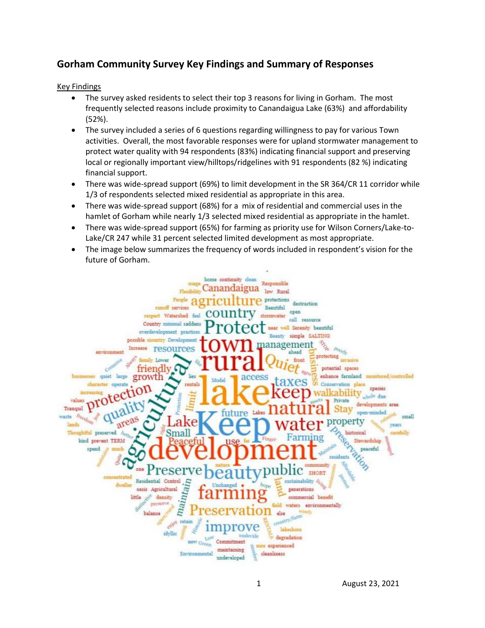# **Gorham Community Survey Key Findings and Summary of Responses**

Key Findings

- The survey asked residents to select their top 3 reasons for living in Gorham. The most frequently selected reasons include proximity to Canandaigua Lake (63%) and affordability (52%).
- The survey included a series of 6 questions regarding willingness to pay for various Town activities. Overall, the most favorable responses were for upland stormwater management to protect water quality with 94 respondents (83%) indicating financial support and preserving local or regionally important view/hilltops/ridgelines with 91 respondents (82 %) indicating financial support.
- There was wide-spread support (69%) to limit development in the SR 364/CR 11 corridor while 1/3 of respondents selected mixed residential as appropriate in this area.
- There was wide-spread support (68%) for a mix of residential and commercial uses in the hamlet of Gorham while nearly 1/3 selected mixed residential as appropriate in the hamlet.
- There was wide-spread support (65%) for farming as priority use for Wilson Corners/Lake-to-Lake/CR 247 while 31 percent selected limited development as most appropriate.
- The image below summarizes the frequency of words included in respondent's vision for the future of Gorham.

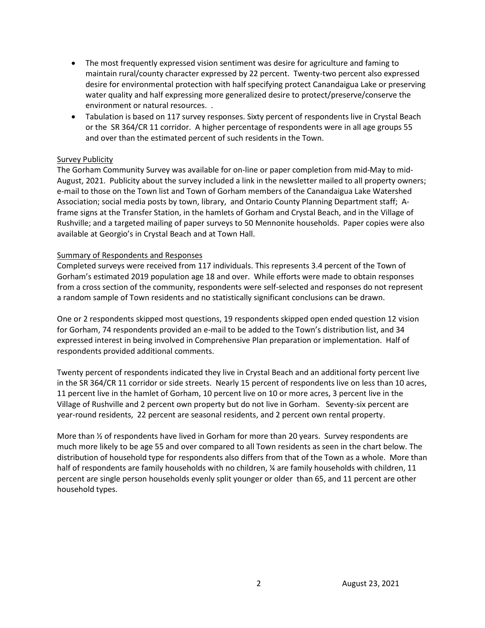- The most frequently expressed vision sentiment was desire for agriculture and faming to maintain rural/county character expressed by 22 percent. Twenty-two percent also expressed desire for environmental protection with half specifying protect Canandaigua Lake or preserving water quality and half expressing more generalized desire to protect/preserve/conserve the environment or natural resources. .
- Tabulation is based on 117 survey responses. Sixty percent of respondents live in Crystal Beach or the SR 364/CR 11 corridor. A higher percentage of respondents were in all age groups 55 and over than the estimated percent of such residents in the Town.

# Survey Publicity

The Gorham Community Survey was available for on-line or paper completion from mid-May to mid-August, 2021. Publicity about the survey included a link in the newsletter mailed to all property owners; e-mail to those on the Town list and Town of Gorham members of the Canandaigua Lake Watershed Association; social media posts by town, library, and Ontario County Planning Department staff; Aframe signs at the Transfer Station, in the hamlets of Gorham and Crystal Beach, and in the Village of Rushville; and a targeted mailing of paper surveys to 50 Mennonite households. Paper copies were also available at Georgio's in Crystal Beach and at Town Hall.

#### Summary of Respondents and Responses

Completed surveys were received from 117 individuals. This represents 3.4 percent of the Town of Gorham's estimated 2019 population age 18 and over. While efforts were made to obtain responses from a cross section of the community, respondents were self-selected and responses do not represent a random sample of Town residents and no statistically significant conclusions can be drawn.

One or 2 respondents skipped most questions, 19 respondents skipped open ended question 12 vision for Gorham, 74 respondents provided an e-mail to be added to the Town's distribution list, and 34 expressed interest in being involved in Comprehensive Plan preparation or implementation. Half of respondents provided additional comments.

Twenty percent of respondents indicated they live in Crystal Beach and an additional forty percent live in the SR 364/CR 11 corridor or side streets. Nearly 15 percent of respondents live on less than 10 acres, 11 percent live in the hamlet of Gorham, 10 percent live on 10 or more acres, 3 percent live in the Village of Rushville and 2 percent own property but do not live in Gorham. Seventy-six percent are year-round residents, 22 percent are seasonal residents, and 2 percent own rental property.

More than  $\frac{1}{2}$  of respondents have lived in Gorham for more than 20 years. Survey respondents are much more likely to be age 55 and over compared to all Town residents as seen in the chart below. The distribution of household type for respondents also differs from that of the Town as a whole. More than half of respondents are family households with no children, % are family households with children, 11 percent are single person households evenly split younger or older than 65, and 11 percent are other household types.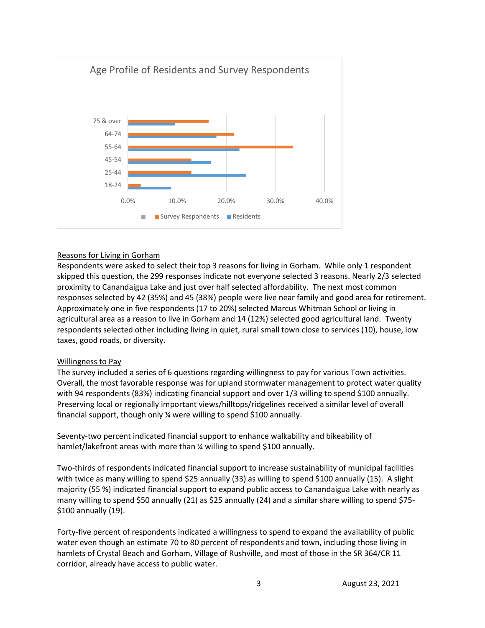

# Reasons for Living in Gorham

Respondents were asked to select their top 3 reasons for living in Gorham. While only 1 respondent skipped this question, the 299 responses indicate not everyone selected 3 reasons. Nearly 2/3 selected proximity to Canandaigua Lake and just over half selected affordability. The next most common responses selected by 42 (35%) and 45 (38%) people were live near family and good area for retirement. Approximately one in five respondents (17 to 20%) selected Marcus Whitman School or living in agricultural area as a reason to live in Gorham and 14 (12%) selected good agricultural land. Twenty respondents selected other including living in quiet, rural small town close to services (10), house, low taxes, good roads, or diversity.

#### Willingness to Pay

The survey included a series of 6 questions regarding willingness to pay for various Town activities. Overall, the most favorable response was for upland stormwater management to protect water quality with 94 respondents (83%) indicating financial support and over 1/3 willing to spend \$100 annually. Preserving local or regionally important views/hilltops/ridgelines received a similar level of overall financial support, though only ¼ were willing to spend \$100 annually.

Seventy-two percent indicated financial support to enhance walkability and bikeability of hamlet/lakefront areas with more than 1/4 willing to spend \$100 annually.

Two-thirds of respondents indicated financial support to increase sustainability of municipal facilities with twice as many willing to spend \$25 annually (33) as willing to spend \$100 annually (15). A slight majority (55 %) indicated financial support to expand public access to Canandaigua Lake with nearly as many willing to spend \$50 annually (21) as \$25 annually (24) and a similar share willing to spend \$75- \$100 annually (19).

Forty-five percent of respondents indicated a willingness to spend to expand the availability of public water even though an estimate 70 to 80 percent of respondents and town, including those living in hamlets of Crystal Beach and Gorham, Village of Rushville, and most of those in the SR 364/CR 11 corridor, already have access to public water.

3 August 23, 2021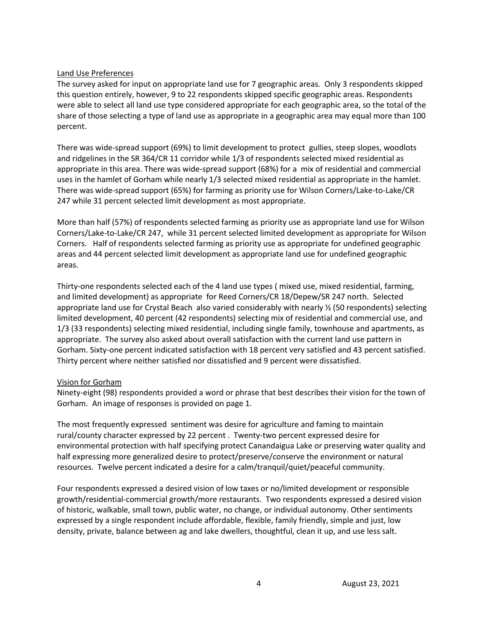## Land Use Preferences

The survey asked for input on appropriate land use for 7 geographic areas. Only 3 respondents skipped this question entirely, however, 9 to 22 respondents skipped specific geographic areas. Respondents were able to select all land use type considered appropriate for each geographic area, so the total of the share of those selecting a type of land use as appropriate in a geographic area may equal more than 100 percent.

There was wide-spread support (69%) to limit development to protect gullies, steep slopes, woodlots and ridgelines in the SR 364/CR 11 corridor while 1/3 of respondents selected mixed residential as appropriate in this area. There was wide-spread support (68%) for a mix of residential and commercial uses in the hamlet of Gorham while nearly 1/3 selected mixed residential as appropriate in the hamlet. There was wide-spread support (65%) for farming as priority use for Wilson Corners/Lake-to-Lake/CR 247 while 31 percent selected limit development as most appropriate.

More than half (57%) of respondents selected farming as priority use as appropriate land use for Wilson Corners/Lake-to-Lake/CR 247, while 31 percent selected limited development as appropriate for Wilson Corners. Half of respondents selected farming as priority use as appropriate for undefined geographic areas and 44 percent selected limit development as appropriate land use for undefined geographic areas.

Thirty-one respondents selected each of the 4 land use types ( mixed use, mixed residential, farming, and limited development) as appropriate for Reed Corners/CR 18/Depew/SR 247 north. Selected appropriate land use for Crystal Beach also varied considerably with nearly  $\frac{1}{2}$  (50 respondents) selecting limited development, 40 percent (42 respondents) selecting mix of residential and commercial use, and 1/3 (33 respondents) selecting mixed residential, including single family, townhouse and apartments, as appropriate. The survey also asked about overall satisfaction with the current land use pattern in Gorham. Sixty-one percent indicated satisfaction with 18 percent very satisfied and 43 percent satisfied. Thirty percent where neither satisfied nor dissatisfied and 9 percent were dissatisfied.

# Vision for Gorham

Ninety-eight (98) respondents provided a word or phrase that best describes their vision for the town of Gorham. An image of responses is provided on page 1.

The most frequently expressed sentiment was desire for agriculture and faming to maintain rural/county character expressed by 22 percent . Twenty-two percent expressed desire for environmental protection with half specifying protect Canandaigua Lake or preserving water quality and half expressing more generalized desire to protect/preserve/conserve the environment or natural resources. Twelve percent indicated a desire for a calm/tranquil/quiet/peaceful community.

Four respondents expressed a desired vision of low taxes or no/limited development or responsible growth/residential-commercial growth/more restaurants. Two respondents expressed a desired vision of historic, walkable, small town, public water, no change, or individual autonomy. Other sentiments expressed by a single respondent include affordable, flexible, family friendly, simple and just, low density, private, balance between ag and lake dwellers, thoughtful, clean it up, and use less salt.